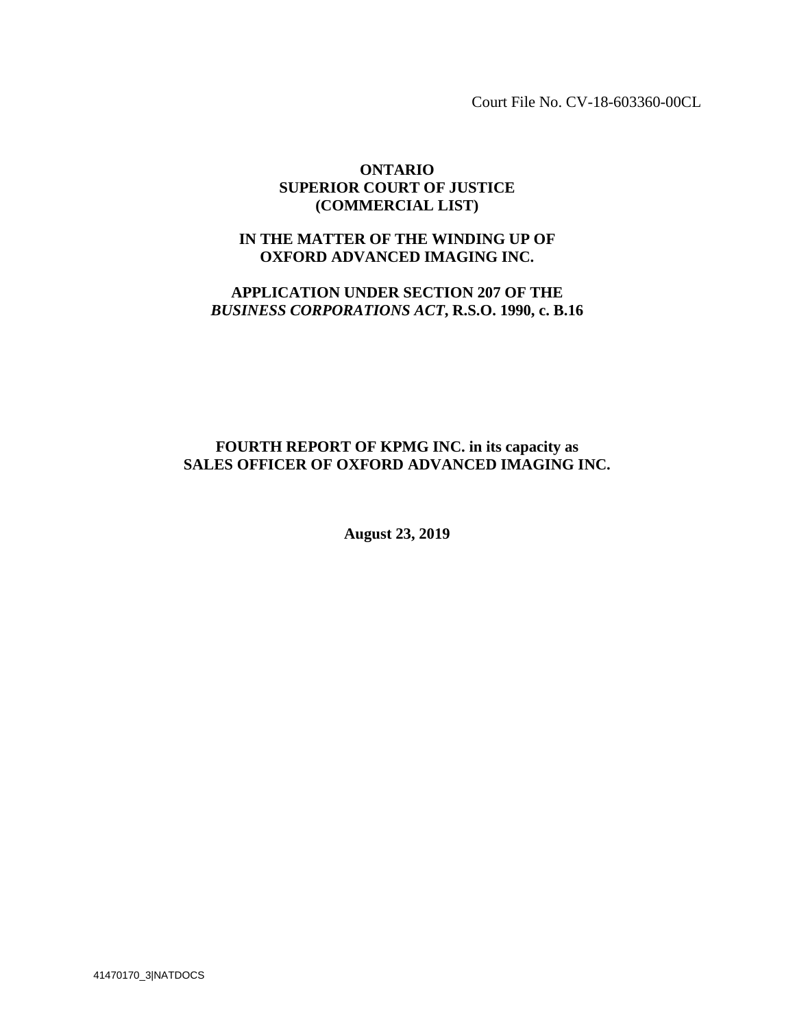Court File No. CV-18-603360-00CL

### **ONTARIO SUPERIOR COURT OF JUSTICE (COMMERCIAL LIST)**

## **IN THE MATTER OF THE WINDING UP OF OXFORD ADVANCED IMAGING INC.**

## **APPLICATION UNDER SECTION 207 OF THE** *BUSINESS CORPORATIONS ACT***, R.S.O. 1990, c. B.16**

## **FOURTH REPORT OF KPMG INC. in its capacity as SALES OFFICER OF OXFORD ADVANCED IMAGING INC.**

**August 23, 2019**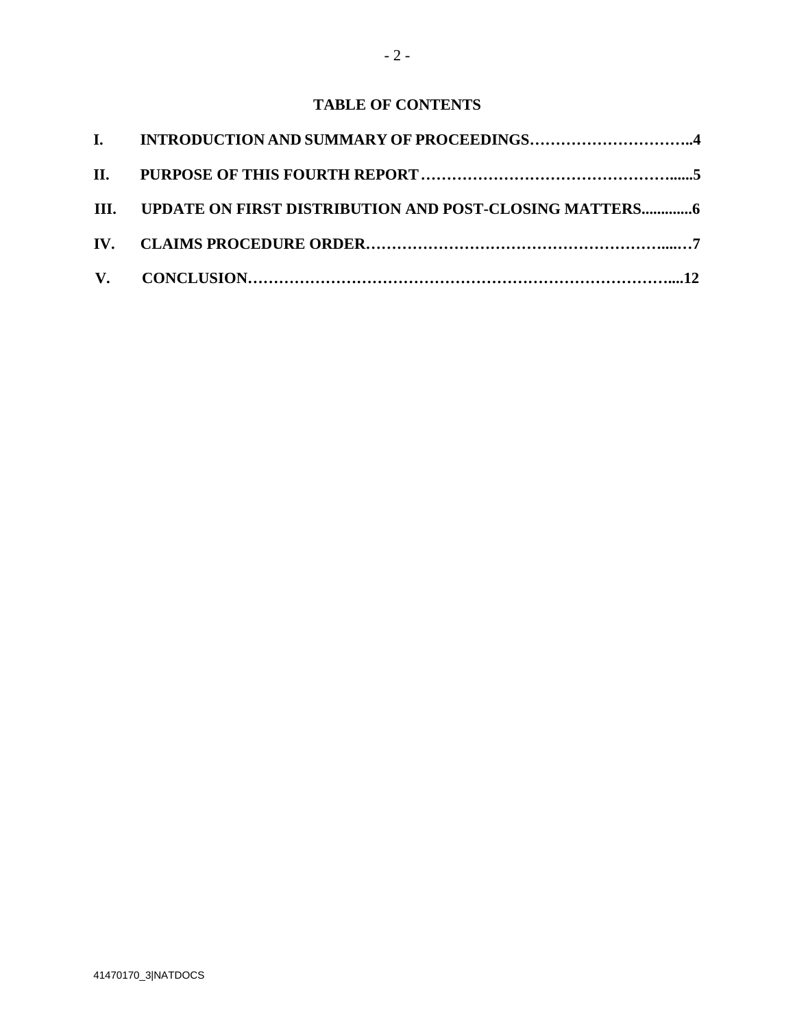# **TABLE OF CONTENTS**

| I. INTRODUCTION AND SUMMARY OF PROCEEDINGS4                 |
|-------------------------------------------------------------|
|                                                             |
| III. UPDATE ON FIRST DISTRIBUTION AND POST-CLOSING MATTERS6 |
|                                                             |
|                                                             |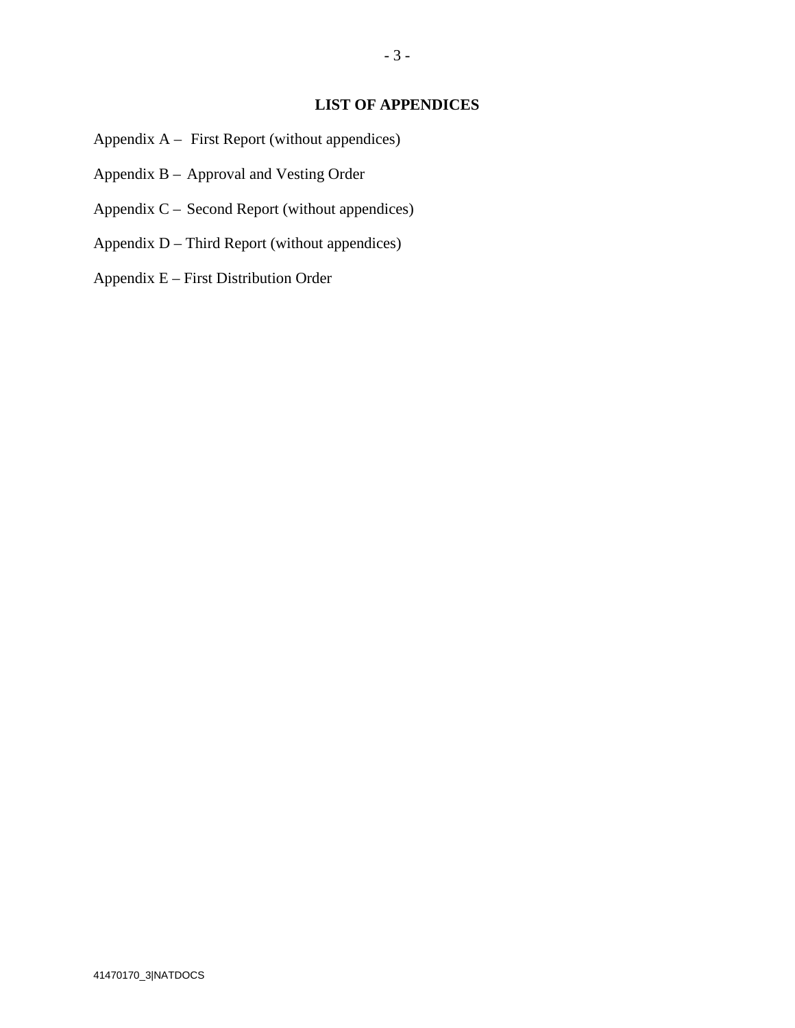## **LIST OF APPENDICES**

- 3 -

- Appendix A First Report (without appendices)
- Appendix B Approval and Vesting Order
- Appendix C Second Report (without appendices)
- Appendix D Third Report (without appendices)
- Appendix E First Distribution Order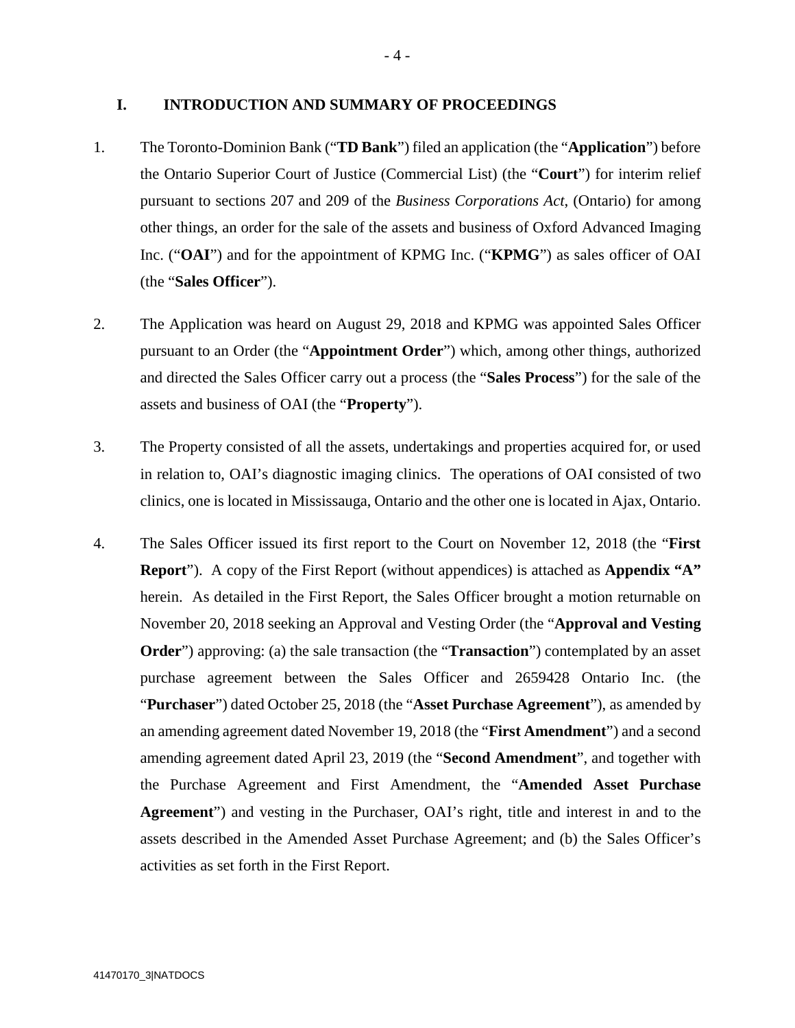### **I. INTRODUCTION AND SUMMARY OF PROCEEDINGS**

- 1. The Toronto-Dominion Bank ("**TD Bank**") filed an application (the "**Application**") before the Ontario Superior Court of Justice (Commercial List) (the "**Court**") for interim relief pursuant to sections 207 and 209 of the *Business Corporations Act*, (Ontario) for among other things, an order for the sale of the assets and business of Oxford Advanced Imaging Inc. ("**OAI**") and for the appointment of KPMG Inc. ("**KPMG**") as sales officer of OAI (the "**Sales Officer**").
- 2. The Application was heard on August 29, 2018 and KPMG was appointed Sales Officer pursuant to an Order (the "**Appointment Order**") which, among other things, authorized and directed the Sales Officer carry out a process (the "**Sales Process**") for the sale of the assets and business of OAI (the "**Property**").
- 3. The Property consisted of all the assets, undertakings and properties acquired for, or used in relation to, OAI's diagnostic imaging clinics. The operations of OAI consisted of two clinics, one is located in Mississauga, Ontario and the other one is located in Ajax, Ontario.
- 4. The Sales Officer issued its first report to the Court on November 12, 2018 (the "**First Report**"). A copy of the First Report (without appendices) is attached as **Appendix "A"** herein. As detailed in the First Report, the Sales Officer brought a motion returnable on November 20, 2018 seeking an Approval and Vesting Order (the "**Approval and Vesting Order**") approving: (a) the sale transaction (the "**Transaction**") contemplated by an asset purchase agreement between the Sales Officer and 2659428 Ontario Inc. (the "**Purchaser**") dated October 25, 2018 (the "**Asset Purchase Agreement**"), as amended by an amending agreement dated November 19, 2018 (the "**First Amendment**") and a second amending agreement dated April 23, 2019 (the "**Second Amendment**", and together with the Purchase Agreement and First Amendment, the "**Amended Asset Purchase Agreement**") and vesting in the Purchaser, OAI's right, title and interest in and to the assets described in the Amended Asset Purchase Agreement; and (b) the Sales Officer's activities as set forth in the First Report.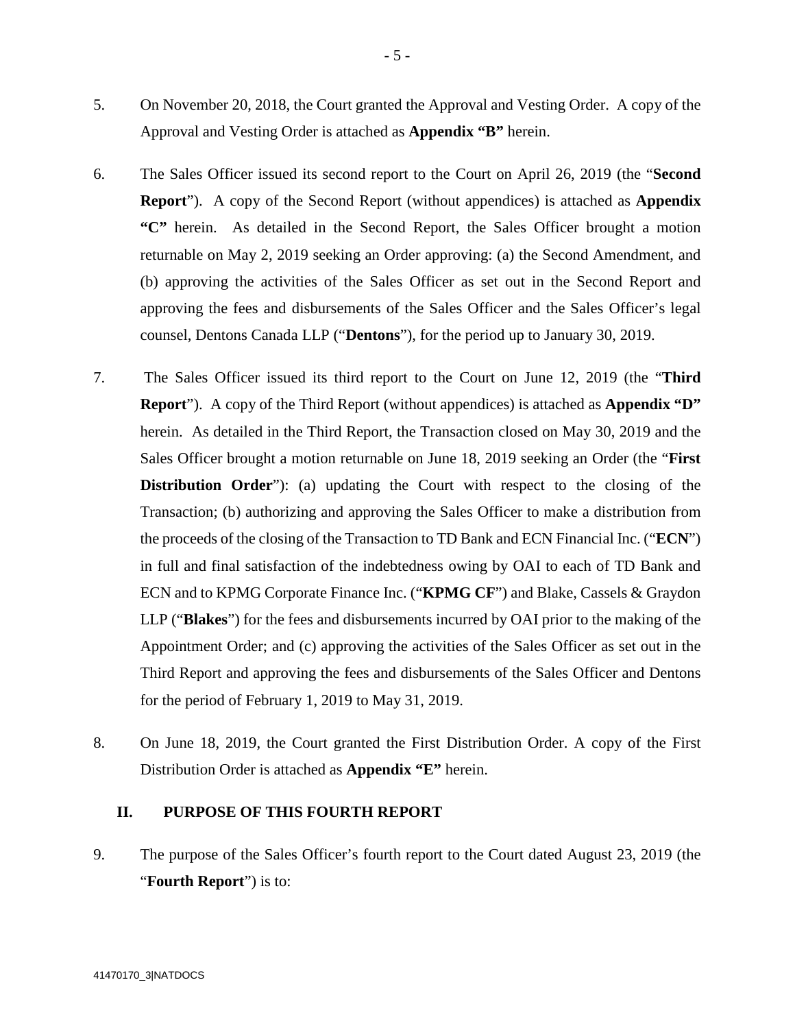- 5. On November 20, 2018, the Court granted the Approval and Vesting Order. A copy of the Approval and Vesting Order is attached as **Appendix "B"** herein.
- 6. The Sales Officer issued its second report to the Court on April 26, 2019 (the "**Second Report**"). A copy of the Second Report (without appendices) is attached as **Appendix "C"** herein. As detailed in the Second Report, the Sales Officer brought a motion returnable on May 2, 2019 seeking an Order approving: (a) the Second Amendment, and (b) approving the activities of the Sales Officer as set out in the Second Report and approving the fees and disbursements of the Sales Officer and the Sales Officer's legal counsel, Dentons Canada LLP ("**Dentons**"), for the period up to January 30, 2019.
- 7. The Sales Officer issued its third report to the Court on June 12, 2019 (the "**Third Report**"). A copy of the Third Report (without appendices) is attached as **Appendix "D"**  herein. As detailed in the Third Report, the Transaction closed on May 30, 2019 and the Sales Officer brought a motion returnable on June 18, 2019 seeking an Order (the "**First Distribution Order**"): (a) updating the Court with respect to the closing of the Transaction; (b) authorizing and approving the Sales Officer to make a distribution from the proceeds of the closing of the Transaction to TD Bank and ECN Financial Inc. ("**ECN**") in full and final satisfaction of the indebtedness owing by OAI to each of TD Bank and ECN and to KPMG Corporate Finance Inc. ("**KPMG CF**") and Blake, Cassels & Graydon LLP ("**Blakes**") for the fees and disbursements incurred by OAI prior to the making of the Appointment Order; and (c) approving the activities of the Sales Officer as set out in the Third Report and approving the fees and disbursements of the Sales Officer and Dentons for the period of February 1, 2019 to May 31, 2019.
- 8. On June 18, 2019, the Court granted the First Distribution Order. A copy of the First Distribution Order is attached as **Appendix "E"** herein.

### **II. PURPOSE OF THIS FOURTH REPORT**

9. The purpose of the Sales Officer's fourth report to the Court dated August 23, 2019 (the "**Fourth Report**") is to: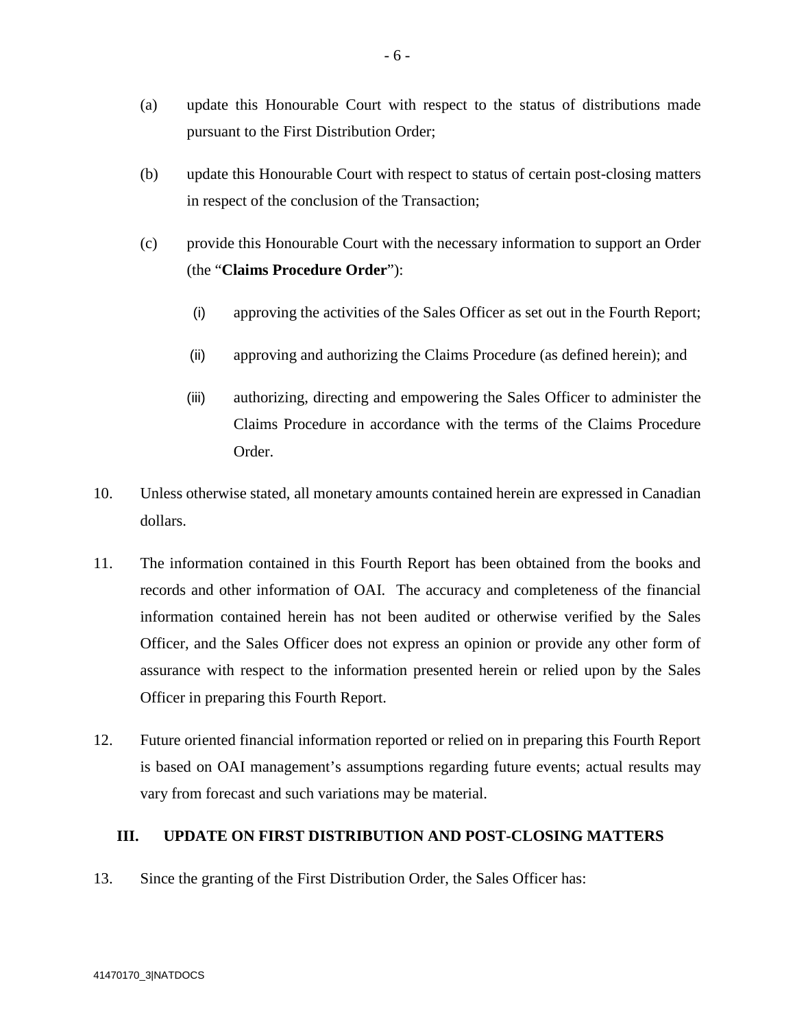- (a) update this Honourable Court with respect to the status of distributions made pursuant to the First Distribution Order;
- (b) update this Honourable Court with respect to status of certain post-closing matters in respect of the conclusion of the Transaction;
- (c) provide this Honourable Court with the necessary information to support an Order (the "**Claims Procedure Order**"):
	- (i) approving the activities of the Sales Officer as set out in the Fourth Report;
	- (ii) approving and authorizing the Claims Procedure (as defined herein); and
	- (iii) authorizing, directing and empowering the Sales Officer to administer the Claims Procedure in accordance with the terms of the Claims Procedure Order.
- 10. Unless otherwise stated, all monetary amounts contained herein are expressed in Canadian dollars.
- 11. The information contained in this Fourth Report has been obtained from the books and records and other information of OAI. The accuracy and completeness of the financial information contained herein has not been audited or otherwise verified by the Sales Officer, and the Sales Officer does not express an opinion or provide any other form of assurance with respect to the information presented herein or relied upon by the Sales Officer in preparing this Fourth Report.
- 12. Future oriented financial information reported or relied on in preparing this Fourth Report is based on OAI management's assumptions regarding future events; actual results may vary from forecast and such variations may be material.

### **III. UPDATE ON FIRST DISTRIBUTION AND POST-CLOSING MATTERS**

13. Since the granting of the First Distribution Order, the Sales Officer has: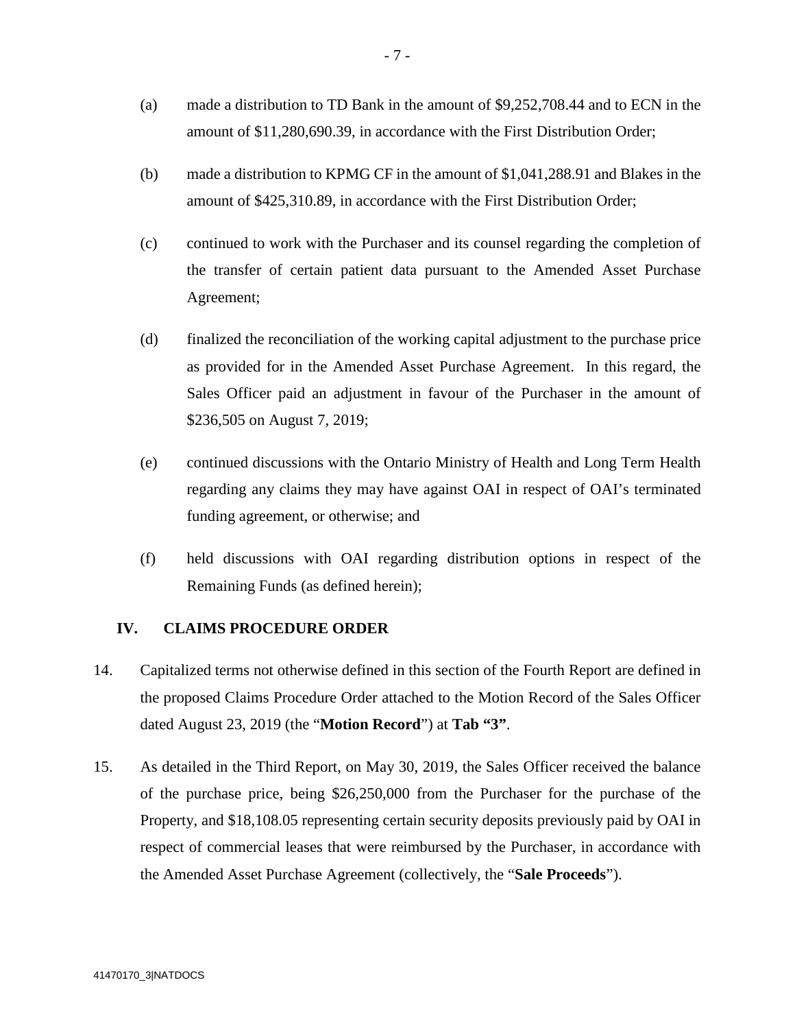- (a) made a distribution to TD Bank in the amount of \$9,252,708.44 and to ECN in the amount of \$11,280,690.39, in accordance with the First Distribution Order;
- (b) made a distribution to KPMG CF in the amount of \$1,041,288.91 and Blakes in the amount of \$425,310.89, in accordance with the First Distribution Order;
- (c) continued to work with the Purchaser and its counsel regarding the completion of the transfer of certain patient data pursuant to the Amended Asset Purchase Agreement;
- (d) finalized the reconciliation of the working capital adjustment to the purchase price as provided for in the Amended Asset Purchase Agreement. In this regard, the Sales Officer paid an adjustment in favour of the Purchaser in the amount of \$236,505 on August 7, 2019;
- (e) continued discussions with the Ontario Ministry of Health and Long Term Health regarding any claims they may have against OAI in respect of OAI's terminated funding agreement, or otherwise; and
- (f) held discussions with OAI regarding distribution options in respect of the Remaining Funds (as defined herein);

### **IV. CLAIMS PROCEDURE ORDER**

- 14. Capitalized terms not otherwise defined in this section of the Fourth Report are defined in the proposed Claims Procedure Order attached to the Motion Record of the Sales Officer dated August 23, 2019 (the "**Motion Record**") at **Tab "3"**.
- 15. As detailed in the Third Report, on May 30, 2019, the Sales Officer received the balance of the purchase price, being \$26,250,000 from the Purchaser for the purchase of the Property, and \$18,108.05 representing certain security deposits previously paid by OAI in respect of commercial leases that were reimbursed by the Purchaser, in accordance with the Amended Asset Purchase Agreement (collectively, the "**Sale Proceeds**").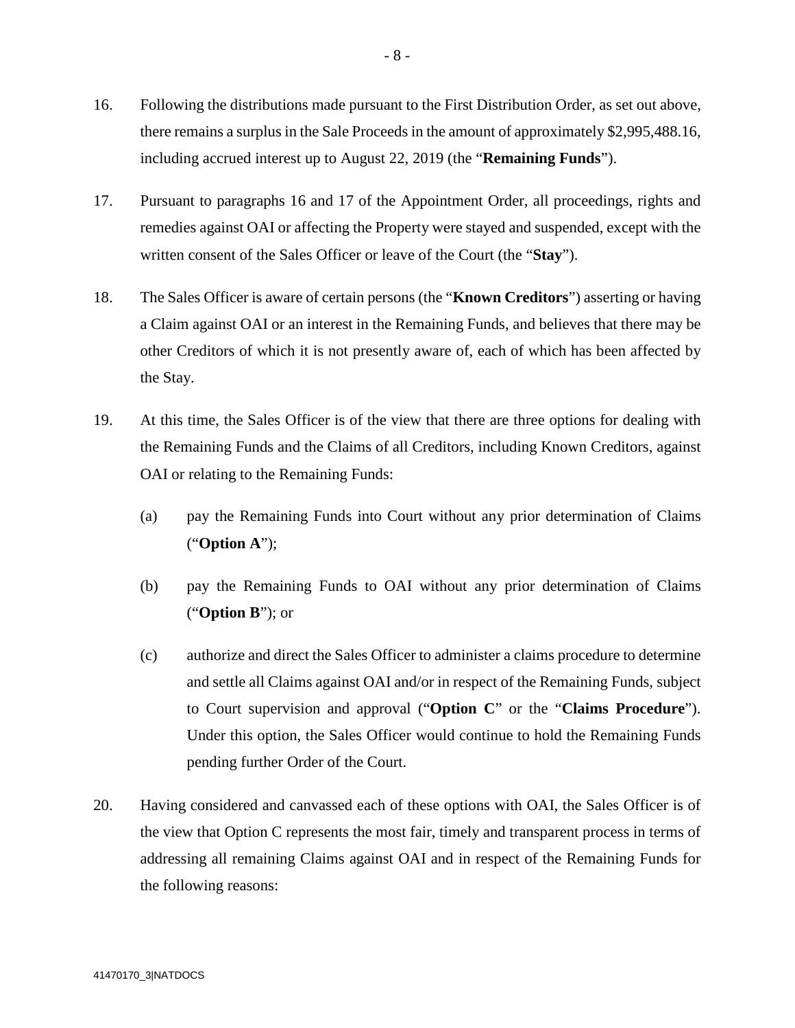- 16. Following the distributions made pursuant to the First Distribution Order, as set out above, there remains a surplus in the Sale Proceeds in the amount of approximately \$2,995,488.16, including accrued interest up to August 22, 2019 (the "**Remaining Funds**").
- 17. Pursuant to paragraphs 16 and 17 of the Appointment Order, all proceedings, rights and remedies against OAI or affecting the Property were stayed and suspended, except with the written consent of the Sales Officer or leave of the Court (the "**Stay**").
- 18. The Sales Officer is aware of certain persons (the "**Known Creditors**") asserting or having a Claim against OAI or an interest in the Remaining Funds, and believes that there may be other Creditors of which it is not presently aware of, each of which has been affected by the Stay.
- 19. At this time, the Sales Officer is of the view that there are three options for dealing with the Remaining Funds and the Claims of all Creditors, including Known Creditors, against OAI or relating to the Remaining Funds:
	- (a) pay the Remaining Funds into Court without any prior determination of Claims ("**Option A**");
	- (b) pay the Remaining Funds to OAI without any prior determination of Claims ("**Option B**"); or
	- (c) authorize and direct the Sales Officer to administer a claims procedure to determine and settle all Claims against OAI and/or in respect of the Remaining Funds, subject to Court supervision and approval ("**Option C**" or the "**Claims Procedure**"). Under this option, the Sales Officer would continue to hold the Remaining Funds pending further Order of the Court.
- 20. Having considered and canvassed each of these options with OAI, the Sales Officer is of the view that Option C represents the most fair, timely and transparent process in terms of addressing all remaining Claims against OAI and in respect of the Remaining Funds for the following reasons: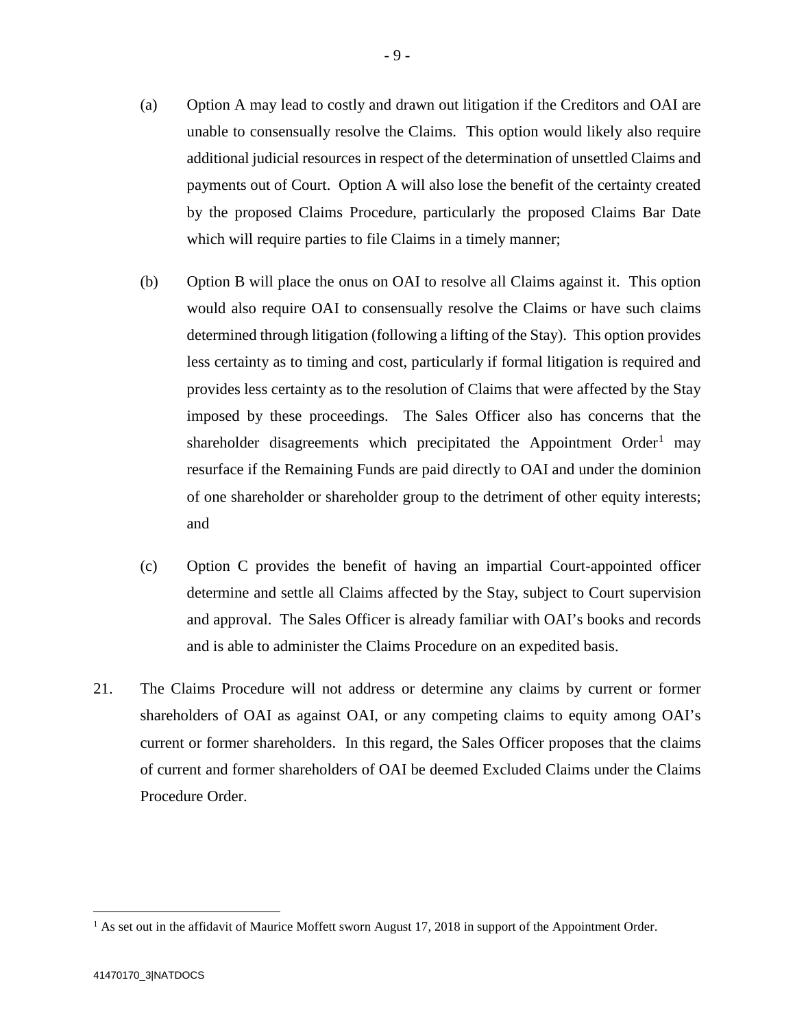- (a) Option A may lead to costly and drawn out litigation if the Creditors and OAI are unable to consensually resolve the Claims. This option would likely also require additional judicial resources in respect of the determination of unsettled Claims and payments out of Court. Option A will also lose the benefit of the certainty created by the proposed Claims Procedure, particularly the proposed Claims Bar Date which will require parties to file Claims in a timely manner;
- (b) Option B will place the onus on OAI to resolve all Claims against it. This option would also require OAI to consensually resolve the Claims or have such claims determined through litigation (following a lifting of the Stay). This option provides less certainty as to timing and cost, particularly if formal litigation is required and provides less certainty as to the resolution of Claims that were affected by the Stay imposed by these proceedings. The Sales Officer also has concerns that the shareholder disagreements which precipitated the Appointment Order<sup>[1](#page-8-0)</sup> may resurface if the Remaining Funds are paid directly to OAI and under the dominion of one shareholder or shareholder group to the detriment of other equity interests; and
- (c) Option C provides the benefit of having an impartial Court-appointed officer determine and settle all Claims affected by the Stay, subject to Court supervision and approval. The Sales Officer is already familiar with OAI's books and records and is able to administer the Claims Procedure on an expedited basis.
- 21. The Claims Procedure will not address or determine any claims by current or former shareholders of OAI as against OAI, or any competing claims to equity among OAI's current or former shareholders. In this regard, the Sales Officer proposes that the claims of current and former shareholders of OAI be deemed Excluded Claims under the Claims Procedure Order.

<span id="page-8-0"></span> $<sup>1</sup>$  As set out in the affidavit of Maurice Moffett sworn August 17, 2018 in support of the Appointment Order.</sup>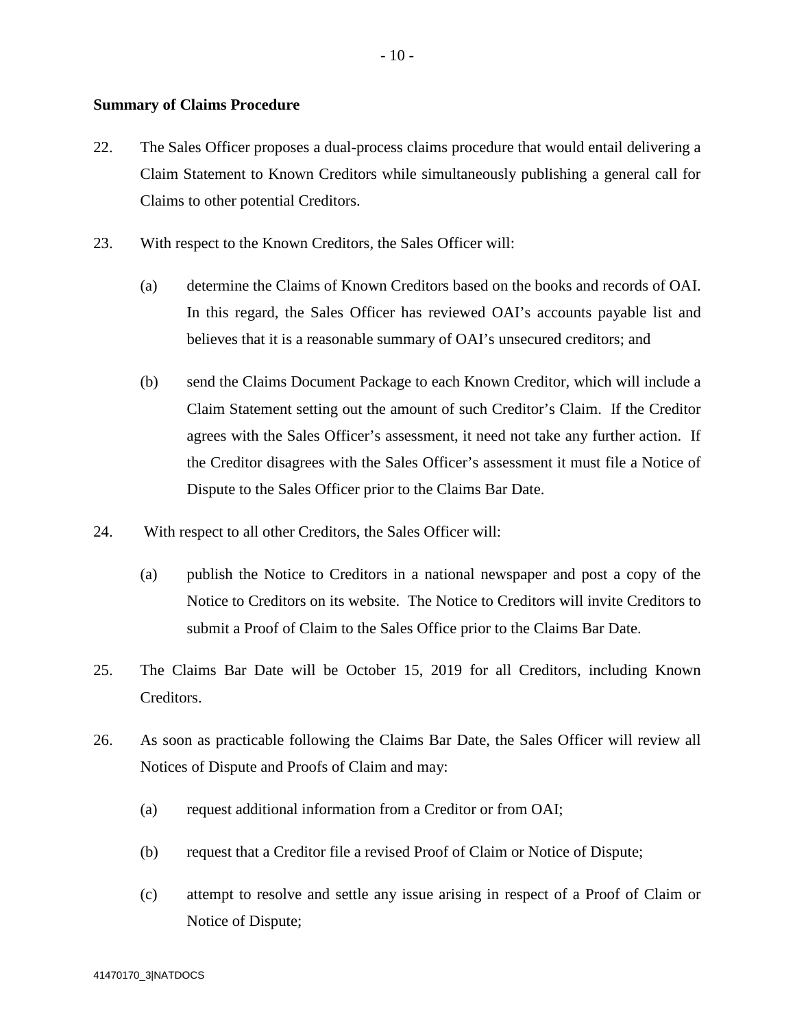### **Summary of Claims Procedure**

- 22. The Sales Officer proposes a dual-process claims procedure that would entail delivering a Claim Statement to Known Creditors while simultaneously publishing a general call for Claims to other potential Creditors.
- 23. With respect to the Known Creditors, the Sales Officer will:
	- (a) determine the Claims of Known Creditors based on the books and records of OAI. In this regard, the Sales Officer has reviewed OAI's accounts payable list and believes that it is a reasonable summary of OAI's unsecured creditors; and
	- (b) send the Claims Document Package to each Known Creditor, which will include a Claim Statement setting out the amount of such Creditor's Claim. If the Creditor agrees with the Sales Officer's assessment, it need not take any further action. If the Creditor disagrees with the Sales Officer's assessment it must file a Notice of Dispute to the Sales Officer prior to the Claims Bar Date.
- 24. With respect to all other Creditors, the Sales Officer will:
	- (a) publish the Notice to Creditors in a national newspaper and post a copy of the Notice to Creditors on its website. The Notice to Creditors will invite Creditors to submit a Proof of Claim to the Sales Office prior to the Claims Bar Date.
- 25. The Claims Bar Date will be October 15, 2019 for all Creditors, including Known Creditors.
- 26. As soon as practicable following the Claims Bar Date, the Sales Officer will review all Notices of Dispute and Proofs of Claim and may:
	- (a) request additional information from a Creditor or from OAI;
	- (b) request that a Creditor file a revised Proof of Claim or Notice of Dispute;
	- (c) attempt to resolve and settle any issue arising in respect of a Proof of Claim or Notice of Dispute;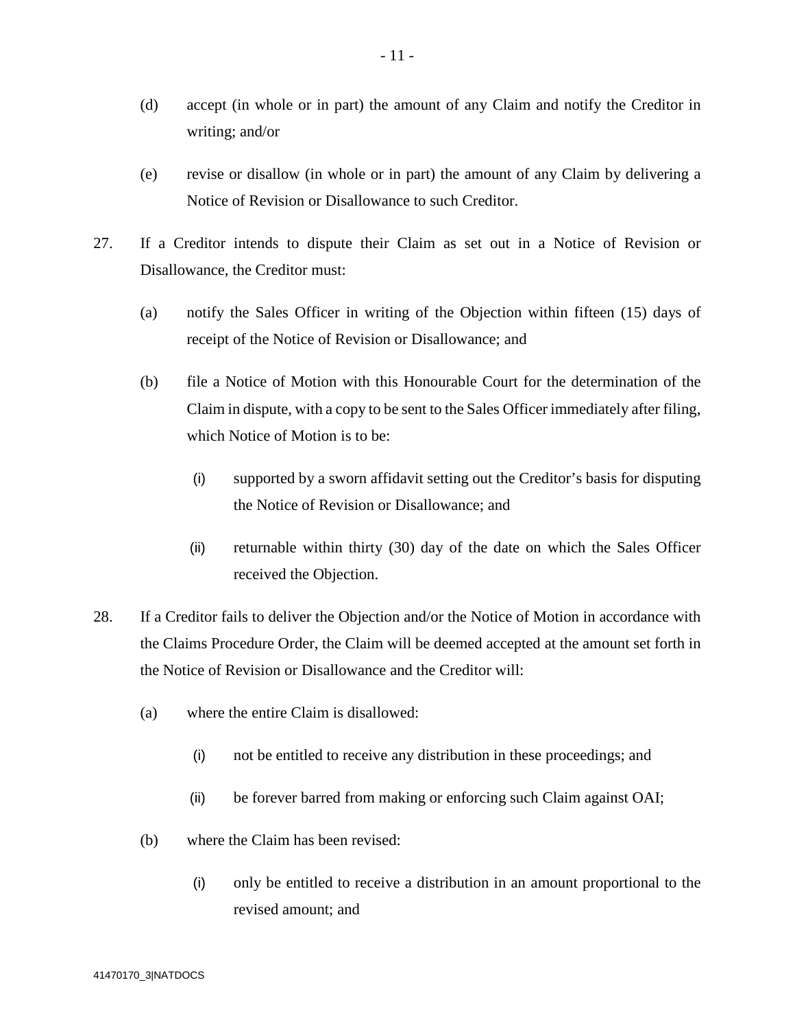- (d) accept (in whole or in part) the amount of any Claim and notify the Creditor in writing; and/or
- (e) revise or disallow (in whole or in part) the amount of any Claim by delivering a Notice of Revision or Disallowance to such Creditor.
- 27. If a Creditor intends to dispute their Claim as set out in a Notice of Revision or Disallowance, the Creditor must:
	- (a) notify the Sales Officer in writing of the Objection within fifteen (15) days of receipt of the Notice of Revision or Disallowance; and
	- (b) file a Notice of Motion with this Honourable Court for the determination of the Claim in dispute, with a copy to be sent to the Sales Officer immediately after filing, which Notice of Motion is to be:
		- (i) supported by a sworn affidavit setting out the Creditor's basis for disputing the Notice of Revision or Disallowance; and
		- (ii) returnable within thirty (30) day of the date on which the Sales Officer received the Objection.
- 28. If a Creditor fails to deliver the Objection and/or the Notice of Motion in accordance with the Claims Procedure Order, the Claim will be deemed accepted at the amount set forth in the Notice of Revision or Disallowance and the Creditor will:
	- (a) where the entire Claim is disallowed:
		- (i) not be entitled to receive any distribution in these proceedings; and
		- (ii) be forever barred from making or enforcing such Claim against OAI;
	- (b) where the Claim has been revised:
		- (i) only be entitled to receive a distribution in an amount proportional to the revised amount; and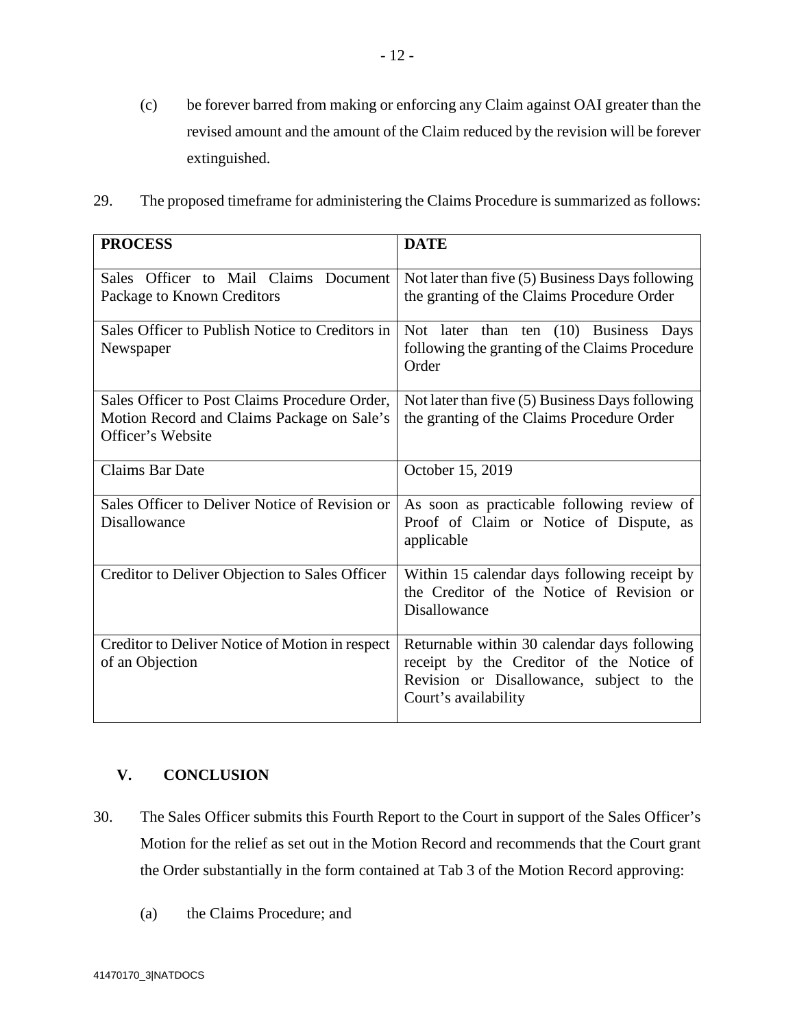- (c) be forever barred from making or enforcing any Claim against OAI greater than the revised amount and the amount of the Claim reduced by the revision will be forever extinguished.
- 29. The proposed timeframe for administering the Claims Procedure is summarized as follows:

| <b>PROCESS</b>                                                                                                   | <b>DATE</b>                                                                                                                                                  |
|------------------------------------------------------------------------------------------------------------------|--------------------------------------------------------------------------------------------------------------------------------------------------------------|
| Sales Officer to Mail Claims Document<br>Package to Known Creditors                                              | Not later than five (5) Business Days following<br>the granting of the Claims Procedure Order                                                                |
| Sales Officer to Publish Notice to Creditors in<br>Newspaper                                                     | Not later than ten (10) Business Days<br>following the granting of the Claims Procedure<br>Order                                                             |
| Sales Officer to Post Claims Procedure Order,<br>Motion Record and Claims Package on Sale's<br>Officer's Website | Not later than five (5) Business Days following<br>the granting of the Claims Procedure Order                                                                |
| <b>Claims Bar Date</b>                                                                                           | October 15, 2019                                                                                                                                             |
| Sales Officer to Deliver Notice of Revision or<br>Disallowance                                                   | As soon as practicable following review of<br>Proof of Claim or Notice of Dispute, as<br>applicable                                                          |
| Creditor to Deliver Objection to Sales Officer                                                                   | Within 15 calendar days following receipt by<br>the Creditor of the Notice of Revision or<br>Disallowance                                                    |
| Creditor to Deliver Notice of Motion in respect<br>of an Objection                                               | Returnable within 30 calendar days following<br>receipt by the Creditor of the Notice of<br>Revision or Disallowance, subject to the<br>Court's availability |

# **V. CONCLUSION**

- 30. The Sales Officer submits this Fourth Report to the Court in support of the Sales Officer's Motion for the relief as set out in the Motion Record and recommends that the Court grant the Order substantially in the form contained at Tab 3 of the Motion Record approving:
	- (a) the Claims Procedure; and